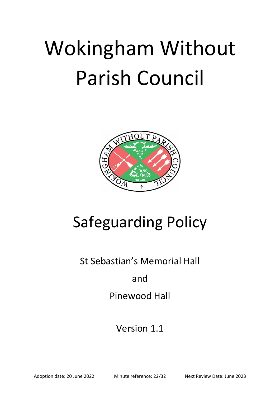# Wokingham Without Parish Council



## Safeguarding Policy

St Sebastian's Memorial Hall

### and

## Pinewood Hall

## Version 1.1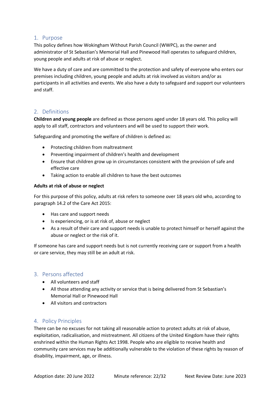#### 1. Purpose

This policy defines how Wokingham Without Parish Council (WWPC), as the owner and administrator of St Sebastian's Memorial Hall and Pinewood Hall operates to safeguard children, young people and adults at risk of abuse or neglect.

We have a duty of care and are committed to the protection and safety of everyone who enters our premises including children, young people and adults at risk involved as visitors and/or as participants in all activities and events. We also have a duty to safeguard and support our volunteers and staff.

#### 2. Definitions

**Children and young people** are defined as those persons aged under 18 years old. This policy will apply to all staff, contractors and volunteers and will be used to support their work.

Safeguarding and promoting the welfare of children is defined as:

- Protecting children from maltreatment
- Preventing impairment of children's health and development
- Ensure that children grow up in circumstances consistent with the provision of safe and effective care
- Taking action to enable all children to have the best outcomes

#### **Adults at risk of abuse or neglect**

For this purpose of this policy, adults at risk refers to someone over 18 years old who, according to paragraph 14.2 of the Care Act 2015:

- Has care and support needs
- Is experiencing, or is at risk of, abuse or neglect
- As a result of their care and support needs is unable to protect himself or herself against the abuse or neglect or the risk of it.

If someone has care and support needs but is not currently receiving care or support from a health or care service, they may still be an adult at risk.

#### 3. Persons affected

- All volunteers and staff
- All those attending any activity or service that is being delivered from St Sebastian's Memorial Hall or Pinewood Hall
- All visitors and contractors

#### 4. Policy Principles

There can be no excuses for not taking all reasonable action to protect adults at risk of abuse, exploitation, radicalisation, and mistreatment. All citizens of the United Kingdom have their rights enshrined within the Human Rights Act 1998. People who are eligible to receive health and community care services may be additionally vulnerable to the violation of these rights by reason of disability, impairment, age, or illness.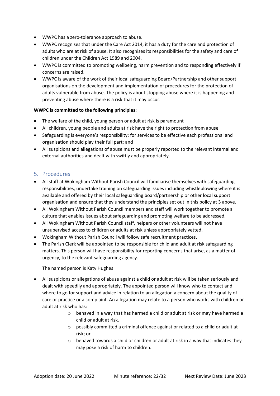- WWPC has a zero-tolerance approach to abuse.
- WWPC recognises that under the Care Act 2014, it has a duty for the care and protection of adults who are at risk of abuse. It also recognises its responsibilities for the safety and care of children under the Children Act 1989 and 2004.
- WWPC is committed to promoting wellbeing, harm prevention and to responding effectively if concerns are raised.
- WWPC is aware of the work of their local safeguarding Board/Partnership and other support organisations on the development and implementation of procedures for the protection of adults vulnerable from abuse. The policy is about stopping abuse where it is happening and preventing abuse where there is a risk that it may occur.

#### **WWPC is committed to the following principles:**

- The welfare of the child, young person or adult at risk is paramount
- All children, young people and adults at risk have the right to protection from abuse
- Safeguarding is everyone's responsibility: for services to be effective each professional and organisation should play their full part; and
- All suspicions and allegations of abuse must be properly reported to the relevant internal and external authorities and dealt with swiftly and appropriately.

#### 5. Procedures

- All staff at Wokingham Without Parish Council will familiarise themselves with safeguarding responsibilities, undertake training on safeguarding issues including whistleblowing where it is available and offered by their local safeguarding board/partnership or other local support organisation and ensure that they understand the principles set out in this policy at 3 above.
- All Wokingham Without Parish Council members and staff will work together to promote a culture that enables issues about safeguarding and promoting welfare to be addressed.
- All Wokingham Without Parish Council staff, helpers or other volunteers will not have unsupervised access to children or adults at risk unless appropriately vetted.
- Wokingham Without Parish Council will follow safe recruitment practices.
- The Parish Clerk will be appointed to be responsible for child and adult at risk safeguarding matters. This person will have responsibility for reporting concerns that arise, as a matter of urgency, to the relevant safeguarding agency.

#### The named person is Katy Hughes

- All suspicions or allegations of abuse against a child or adult at risk will be taken seriously and dealt with speedily and appropriately. The appointed person will know who to contact and where to go for support and advice in relation to an allegation a concern about the quality of care or practice or a complaint. An allegation may relate to a person who works with children or adult at risk who has:
	- $\circ$  behaved in a way that has harmed a child or adult at risk or may have harmed a child or adult at risk.
	- $\circ$  possibly committed a criminal offence against or related to a child or adult at risk; or
	- $\circ$  behaved towards a child or children or adult at risk in a way that indicates they may pose a risk of harm to children.